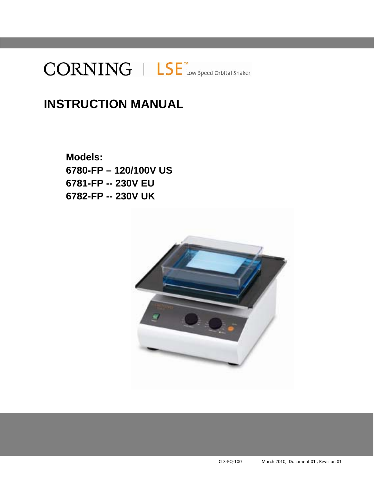

# **INSTRUCTION MANUAL**

**Models: 6780-FP – 120/100V US 6781-FP -- 230V EU 6782-FP -- 230V UK** 

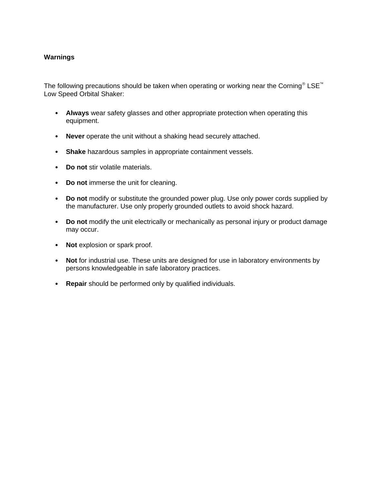# **Warnings**

The following precautions should be taken when operating or working near the Corning<sup>®</sup> LSE<sup>™</sup> Low Speed Orbital Shaker:

- **Always** wear safety glasses and other appropriate protection when operating this equipment.
- **Never** operate the unit without a shaking head securely attached.
- **Shake** hazardous samples in appropriate containment vessels.
- **Do not** stir volatile materials.
- **Do not** immerse the unit for cleaning.
- **Do not** modify or substitute the grounded power plug. Use only power cords supplied by the manufacturer. Use only properly grounded outlets to avoid shock hazard.
- **Do not** modify the unit electrically or mechanically as personal injury or product damage may occur.
- **Not** explosion or spark proof.
- **Not** for industrial use. These units are designed for use in laboratory environments by persons knowledgeable in safe laboratory practices.
- **Repair** should be performed only by qualified individuals.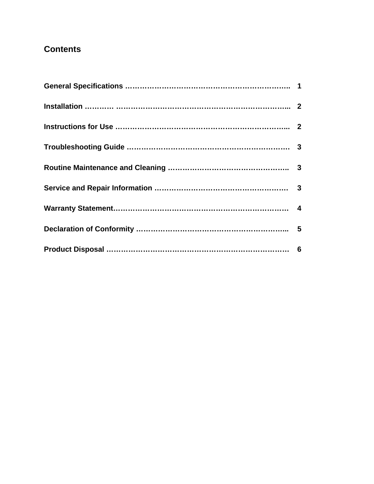# **Contents**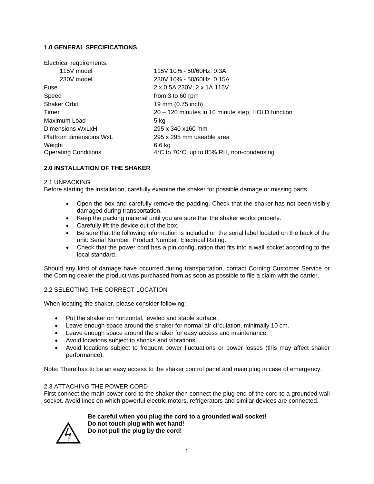# **1.0 GENERAL SPECIFICATIONS**

| Electrical requirements:       |                                                   |
|--------------------------------|---------------------------------------------------|
| 115V model                     | 115V 10% - 50/60Hz, 0.3A                          |
| 230V model                     | 230V 10% - 50/60Hz, 0.15A                         |
| Fuse                           | 2 x 0.5A 230V; 2 x 1A 115V                        |
| Speed                          | from 3 to 60 rpm                                  |
| <b>Shaker Orbit</b>            | 19 mm (0.75 inch)                                 |
| Timer                          | 20 - 120 minutes in 10 minute step, HOLD function |
| Maximum Load                   | 5 kg                                              |
| Dimensions WxLxH               | 295 x 340 x160 mm                                 |
| <b>Platfrom dimensions WxL</b> | 295 x 295 mm useable area                         |
| Weight                         | 6.6 kg                                            |
| <b>Operating Conditions</b>    | 4°C to 70°C, up to 85% RH, non-condensing         |

### **2.0 INSTALLATION OF THE SHAKER**

#### 2.1 UNPACKING

Before starting the installation, carefully examine the shaker for possible damage or missing parts.

- Open the box and carefully remove the padding. Check that the shaker has not been visibly damaged during transportation.
- Keep the packing material until you are sure that the shaker works properly.
- **Carefully lift the device out of the box.**
- Be sure that the following information is included on the serial label located on the back of the unit: Serial Number, Product Number, Electrical Rating.
- Check that the power cord has a pin configuration that fits into a wall socket according to the local standard.

Should any kind of damage have occurred during transportation, contact Corning Customer Service or the Corning dealer the product was purchased from as soon as possible to file a claim with the carrier.

#### 2.2 SELECTING THE CORRECT LOCATION

When locating the shaker, please consider following:

- Put the shaker on horizontal, leveled and stable surface.
- Leave enough space around the shaker for normal air circulation, minimally 10 cm.
- Leave enough space around the shaker for easy access and maintenance.
- Avoid locations subject to shocks and vibrations.
- Avoid locations subject to frequent power fluctuations or power losses (this may affect shaker performance).

Note: There has to be an easy access to the shaker control panel and main plug in case of emergency.

#### 2.3 ATTACHING THE POWER CORD

First connect the main power cord to the shaker then connect the plug end of the cord to a grounded wall socket. Avoid lines on which powerful electric motors, refrigerators and similar devices are connected.

> **Be careful when you plug the cord to a grounded wall socket! Do not touch plug with wet hand! Do not pull the plug by the cord!**

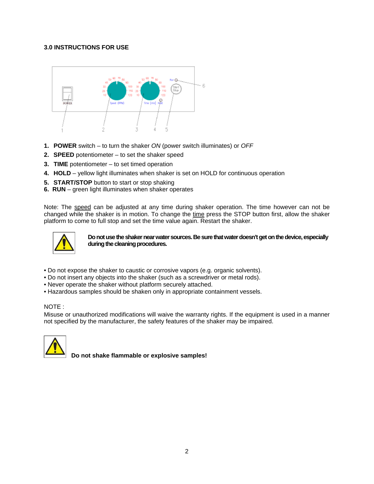## **3.0 INSTRUCTIONS FOR USE**



- **1. POWER** switch to turn the shaker *ON* (power switch illuminates) or *OFF*
- **2. SPEED** potentiometer to set the shaker speed
- **3. TIME** potentiometer to set timed operation
- **4. HOLD** yellow light illuminates when shaker is set on HOLD for continuous operation
- **5. START/STOP** button to start or stop shaking
- **6. RUN**  green light illuminates when shaker operates

Note: The speed can be adjusted at any time during shaker operation. The time however can not be changed while the shaker is in motion. To change the time press the STOP button first, allow the shaker platform to come to full stop and set the time value again. Restart the shaker.



**Do not use the shaker near water sources. Be sure that water doesn't get on the device, especially during the cleaning procedures.** 

- Do not expose the shaker to caustic or corrosive vapors (e.g. organic solvents).
- Do not insert any objects into the shaker (such as a screwdriver or metal rods).
- Never operate the shaker without platform securely attached.
- Hazardous samples should be shaken only in appropriate containment vessels.

#### NOTE :

Misuse or unauthorized modifications will waive the warranty rights. If the equipment is used in a manner not specified by the manufacturer, the safety features of the shaker may be impaired.



 **Do not shake flammable or explosive samples!**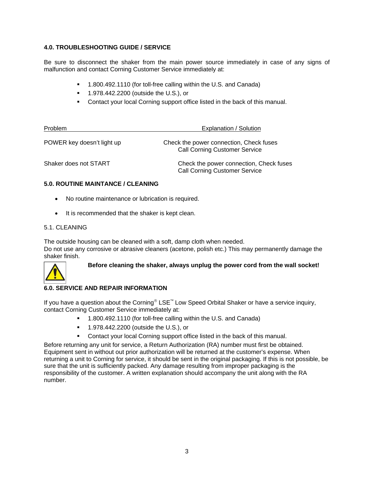## **4.0. TROUBLESHOOTING GUIDE / SERVICE**

Be sure to disconnect the shaker from the main power source immediately in case of any signs of malfunction and contact Corning Customer Service immediately at:

- 1.800.492.1110 (for toll-free calling within the U.S. and Canada)
- **1.978.442.2200 (outside the U.S.), or**
- Contact your local Corning support office listed in the back of this manual.

| <b>Problem</b>             | Explanation / Solution                                                          |
|----------------------------|---------------------------------------------------------------------------------|
| POWER key doesn't light up | Check the power connection, Check fuses<br><b>Call Corning Customer Service</b> |
| Shaker does not START      | Check the power connection, Check fuses<br><b>Call Corning Customer Service</b> |

#### **5.0. ROUTINE MAINTANCE / CLEANING**

- No routine maintenance or lubrication is required.
- It is recommended that the shaker is kept clean.

#### 5.1. CLEANING

The outside housing can be cleaned with a soft, damp cloth when needed. Do not use any corrosive or abrasive cleaners (acetone, polish etc.) This may permanently damage the shaker finish.



**Before cleaning the shaker, always unplug the power cord from the wall socket!** 

# **6.0. SERVICE AND REPAIR INFORMATION**

If you have a question about the Corning<sup>®</sup> LSE<sup>™</sup> Low Speed Orbital Shaker or have a service inquiry, contact Corning Customer Service immediately at:

- 1.800.492.1110 (for toll-free calling within the U.S. and Canada)
- **1.978.442.2200 (outside the U.S.), or**
- **Contact your local Corning support office listed in the back of this manual.**

Before returning any unit for service, a Return Authorization (RA) number must first be obtained. Equipment sent in without out prior authorization will be returned at the customer's expense. When returning a unit to Corning for service, it should be sent in the original packaging. If this is not possible, be sure that the unit is sufficiently packed. Any damage resulting from improper packaging is the responsibility of the customer. A written explanation should accompany the unit along with the RA number.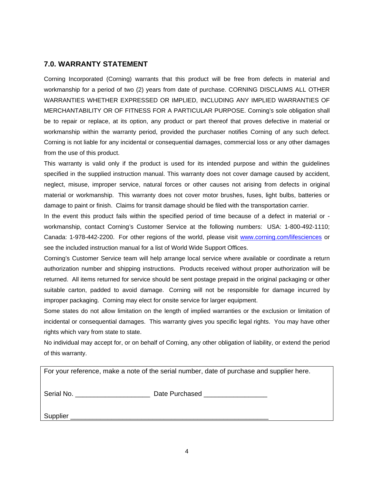# **7.0. WARRANTY STATEMENT**

Corning Incorporated (Corning) warrants that this product will be free from defects in material and workmanship for a period of two (2) years from date of purchase. CORNING DISCLAIMS ALL OTHER WARRANTIES WHETHER EXPRESSED OR IMPLIED, INCLUDING ANY IMPLIED WARRANTIES OF MERCHANTABILITY OR OF FITNESS FOR A PARTICULAR PURPOSE. Corning's sole obligation shall be to repair or replace, at its option, any product or part thereof that proves defective in material or workmanship within the warranty period, provided the purchaser notifies Corning of any such defect. Corning is not liable for any incidental or consequential damages, commercial loss or any other damages from the use of this product.

This warranty is valid only if the product is used for its intended purpose and within the guidelines specified in the supplied instruction manual. This warranty does not cover damage caused by accident, neglect, misuse, improper service, natural forces or other causes not arising from defects in original material or workmanship. This warranty does not cover motor brushes, fuses, light bulbs, batteries or damage to paint or finish. Claims for transit damage should be filed with the transportation carrier.

In the event this product fails within the specified period of time because of a defect in material or workmanship, contact Corning's Customer Service at the following numbers: USA: 1-800-492-1110; Canada: 1-978-442-2200. For other regions of the world, please visit www.corning.com/lifesciences or see the included instruction manual for a list of World Wide Support Offices.

Corning's Customer Service team will help arrange local service where available or coordinate a return authorization number and shipping instructions. Products received without proper authorization will be returned. All items returned for service should be sent postage prepaid in the original packaging or other suitable carton, padded to avoid damage. Corning will not be responsible for damage incurred by improper packaging. Corning may elect for onsite service for larger equipment.

Some states do not allow limitation on the length of implied warranties or the exclusion or limitation of incidental or consequential damages. This warranty gives you specific legal rights. You may have other rights which vary from state to state.

No individual may accept for, or on behalf of Corning, any other obligation of liability, or extend the period of this warranty.

|            | For your reference, make a note of the serial number, date of purchase and supplier here. |
|------------|-------------------------------------------------------------------------------------------|
| Serial No. | Date Purchased                                                                            |
| Supplier   |                                                                                           |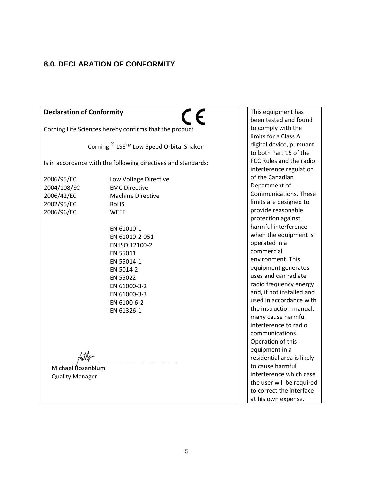# **8.0. DECLARATION OF CONFORMITY**

| <b>Declaration of Conformity</b>                                    |                                                                                                                                                                                                                                                                           |
|---------------------------------------------------------------------|---------------------------------------------------------------------------------------------------------------------------------------------------------------------------------------------------------------------------------------------------------------------------|
|                                                                     | Corning Life Sciences hereby confirms that the product                                                                                                                                                                                                                    |
|                                                                     | Corning <sup>®</sup> LSE <sup>™</sup> Low Speed Orbital Shaker                                                                                                                                                                                                            |
|                                                                     | Is in accordance with the following directives and standards:                                                                                                                                                                                                             |
| 2006/95/EC<br>2004/108/EC<br>2006/42/EC<br>2002/95/EC<br>2006/96/EC | Low Voltage Directive<br><b>EMC Directive</b><br><b>Machine Directive</b><br><b>RoHS</b><br><b>WEEE</b><br>EN 61010-1<br>EN 61010-2-051<br>EN ISO 12100-2<br>EN 55011<br>EN 55014-1<br>EN 5014-2<br>EN 55022<br>EN 61000-3-2<br>EN 61000-3-3<br>EN 6100-6-2<br>EN 61326-1 |
| Michael Rosenblum                                                   |                                                                                                                                                                                                                                                                           |
| <b>Quality Manager</b>                                              |                                                                                                                                                                                                                                                                           |

This equipment has been tested and found to comply with the limits for a Class A digital device, pursuant to both Part 15 of the FCC Rules and the radio interference regulation of the Canadian Department of Communications. These limits are designed to provide reasonable protection against harmful interference when the equipment is operated in a commercial environment. This equipment generates uses and can radiate radio frequency energy and, if not installed and used in accordance with the instruction manual, many cause harmful interference to radio communications. Operation of this equipment in a residential area is likely to cause harmful interference which case the user will be required to correct the interface at his own expense.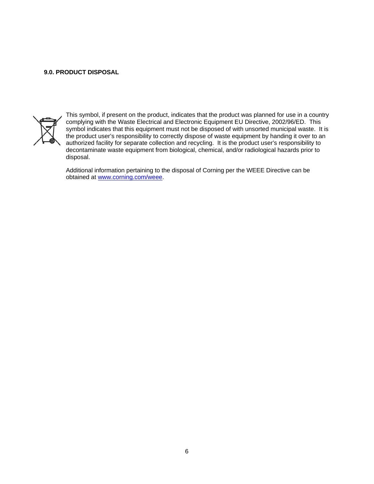#### **9.0. PRODUCT DISPOSAL**



This symbol, if present on the product, indicates that the product was planned for use in a country complying with the Waste Electrical and Electronic Equipment EU Directive, 2002/96/ED. This symbol indicates that this equipment must not be disposed of with unsorted municipal waste. It is the product user's responsibility to correctly dispose of waste equipment by handing it over to an authorized facility for separate collection and recycling. It is the product user's responsibility to decontaminate waste equipment from biological, chemical, and/or radiological hazards prior to disposal.

Additional information pertaining to the disposal of Corning per the WEEE Directive can be obtained at www.corning.com/weee.